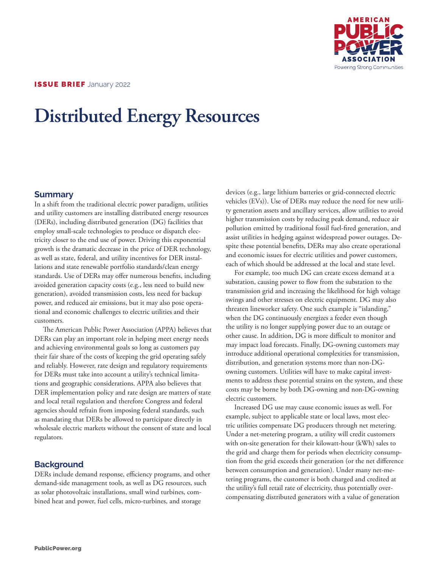

# **Distributed Energy Resources**

#### **Summary**

In a shift from the traditional electric power paradigm, utilities and utility customers are installing distributed energy resources (DERs), including distributed generation (DG) facilities that employ small-scale technologies to produce or dispatch electricity closer to the end use of power. Driving this exponential growth is the dramatic decrease in the price of DER technology, as well as state, federal, and utility incentives for DER installations and state renewable portfolio standards/clean energy standards. Use of DERs may offer numerous benefits, including avoided generation capacity costs (e.g., less need to build new generation), avoided transmission costs, less need for backup power, and reduced air emissions, but it may also pose operational and economic challenges to electric utilities and their customers.

The American Public Power Association (APPA) believes that DERs can play an important role in helping meet energy needs and achieving environmental goals so long as customers pay their fair share of the costs of keeping the grid operating safely and reliably. However, rate design and regulatory requirements for DERs must take into account a utility's technical limitations and geographic considerations. APPA also believes that DER implementation policy and rate design are matters of state and local retail regulation and therefore Congress and federal agencies should refrain from imposing federal standards, such as mandating that DERs be allowed to participate directly in wholesale electric markets without the consent of state and local regulators.

### **Background**

DERs include demand response, efficiency programs, and other demand-side management tools, as well as DG resources, such as solar photovoltaic installations, small wind turbines, combined heat and power, fuel cells, micro-turbines, and storage

devices (e.g., large lithium batteries or grid-connected electric vehicles (EVs)). Use of DERs may reduce the need for new utility generation assets and ancillary services, allow utilities to avoid higher transmission costs by reducing peak demand, reduce air pollution emitted by traditional fossil fuel-fired generation, and assist utilities in hedging against widespread power outages. Despite these potential benefits, DERs may also create operational and economic issues for electric utilities and power customers, each of which should be addressed at the local and state level.

For example, too much DG can create excess demand at a substation, causing power to flow from the substation to the transmission grid and increasing the likelihood for high voltage swings and other stresses on electric equipment. DG may also threaten lineworker safety. One such example is "islanding," when the DG continuously energizes a feeder even though the utility is no longer supplying power due to an outage or other cause. In addition, DG is more difficult to monitor and may impact load forecasts. Finally, DG-owning customers may introduce additional operational complexities for transmission, distribution, and generation systems more than non-DGowning customers. Utilities will have to make capital investments to address these potential strains on the system, and these costs may be borne by both DG-owning and non-DG-owning electric customers.

Increased DG use may cause economic issues as well. For example, subject to applicable state or local laws, most electric utilities compensate DG producers through net metering. Under a net-metering program, a utility will credit customers with on-site generation for their kilowatt-hour (kWh) sales to the grid and charge them for periods when electricity consumption from the grid exceeds their generation (or the net difference between consumption and generation). Under many net-metering programs, the customer is both charged and credited at the utility's full retail rate of electricity, thus potentially overcompensating distributed generators with a value of generation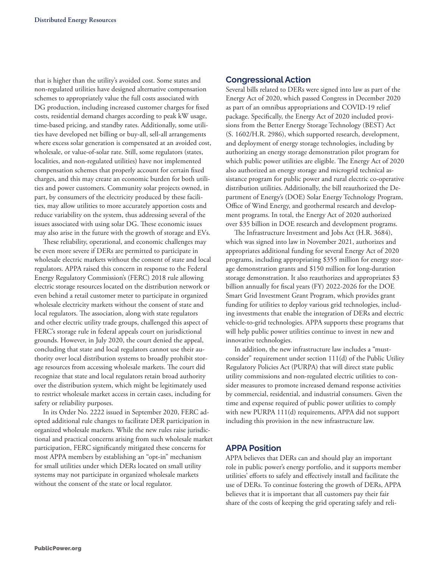that is higher than the utility's avoided cost. Some states and non-regulated utilities have designed alternative compensation schemes to appropriately value the full costs associated with DG production, including increased customer charges for fixed costs, residential demand charges according to peak kW usage, time-based pricing, and standby rates. Additionally, some utilities have developed net billing or buy-all, sell-all arrangements where excess solar generation is compensated at an avoided cost, wholesale, or value-of-solar rate. Still, some regulators (states, localities, and non-regulated utilities) have not implemented compensation schemes that properly account for certain fixed charges, and this may create an economic burden for both utilities and power customers. Community solar projects owned, in part, by consumers of the electricity produced by these facilities, may allow utilities to more accurately apportion costs and reduce variability on the system, thus addressing several of the issues associated with using solar DG. These economic issues may also arise in the future with the growth of storage and EVs.

These reliability, operational, and economic challenges may be even more severe if DERs are permitted to participate in wholesale electric markets without the consent of state and local regulators. APPA raised this concern in response to the Federal Energy Regulatory Commission's (FERC) 2018 rule allowing electric storage resources located on the distribution network or even behind a retail customer meter to participate in organized wholesale electricity markets without the consent of state and local regulators. The association, along with state regulators and other electric utility trade groups, challenged this aspect of FERC's storage rule in federal appeals court on jurisdictional grounds. However, in July 2020, the court denied the appeal, concluding that state and local regulators cannot use their authority over local distribution systems to broadly prohibit storage resources from accessing wholesale markets. The court did recognize that state and local regulators retain broad authority over the distribution system, which might be legitimately used to restrict wholesale market access in certain cases, including for safety or reliability purposes.

In its Order No. 2222 issued in September 2020, FERC adopted additional rule changes to facilitate DER participation in organized wholesale markets. While the new rules raise jurisdictional and practical concerns arising from such wholesale market participation, FERC significantly mitigated these concerns for most APPA members by establishing an "opt-in" mechanism for small utilities under which DERs located on small utility systems may not participate in organized wholesale markets without the consent of the state or local regulator.

#### **Congressional Action**

Several bills related to DERs were signed into law as part of the Energy Act of 2020, which passed Congress in December 2020 as part of an omnibus appropriations and COVID-19 relief package. Specifically, the Energy Act of 2020 included provisions from the Better Energy Storage Technology (BEST) Act (S. 1602/H.R. 2986), which supported research, development, and deployment of energy storage technologies, including by authorizing an energy storage demonstration pilot program for which public power utilities are eligible. The Energy Act of 2020 also authorized an energy storage and microgrid technical assistance program for public power and rural electric co-operative distribution utilities. Additionally, the bill reauthorized the Department of Energy's (DOE) Solar Energy Technology Program, Office of Wind Energy, and geothermal research and development programs. In total, the Energy Act of 2020 authorized over \$35 billion in DOE research and development programs.

The Infrastructure Investment and Jobs Act (H.R. 3684), which was signed into law in November 2021, authorizes and appropriates additional funding for several Energy Act of 2020 programs, including appropriating \$355 million for energy storage demonstration grants and \$150 million for long-duration storage demonstration. It also reauthorizes and appropriates \$3 billion annually for fiscal years (FY) 2022-2026 for the DOE Smart Grid Investment Grant Program, which provides grant funding for utilities to deploy various grid technologies, including investments that enable the integration of DERs and electric vehicle-to-grid technologies. APPA supports these programs that will help public power utilities continue to invest in new and innovative technologies.

In addition, the new infrastructure law includes a "mustconsider" requirement under section 111(d) of the Public Utility Regulatory Policies Act (PURPA) that will direct state public utility commissions and non-regulated electric utilities to consider measures to promote increased demand response activities by commercial, residential, and industrial consumers. Given the time and expense required of public power utilities to comply with new PURPA 111(d) requirements, APPA did not support including this provision in the new infrastructure law.

#### **APPA Position**

APPA believes that DERs can and should play an important role in public power's energy portfolio, and it supports member utilities' efforts to safely and effectively install and facilitate the use of DERs. To continue fostering the growth of DERs, APPA believes that it is important that all customers pay their fair share of the costs of keeping the grid operating safely and reli